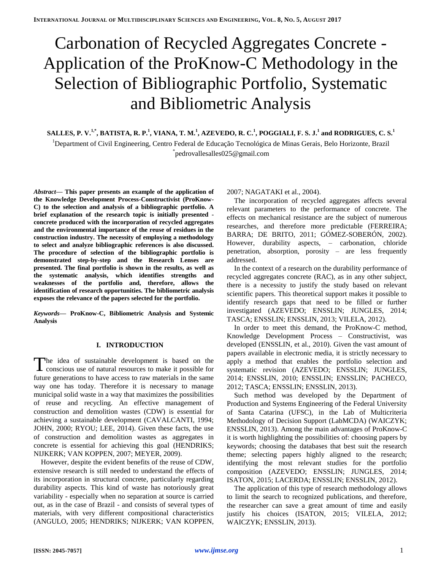# Carbonation of Recycled Aggregates Concrete - Application of the ProKnow-C Methodology in the Selection of Bibliographic Portfolio, Systematic and Bibliometric Analysis

SALLES, P. V.<sup>1,\*</sup>, BATISTA, R. P.<sup>1</sup>, VIANA, T. M.<sup>1</sup>, AZEVEDO, R. C.<sup>1</sup>, POGGIALI, F. S. J.<sup>1</sup> and RODRIGUES, C. S.<sup>1</sup> <sup>1</sup>Department of Civil Engineering, Centro Federal de Educação Tecnológica de Minas Gerais, Belo Horizonte, Brazil \* pedrovallesalles025@gmail.com

*Abstract***— This paper presents an example of the application of the Knowledge Development Process-Constructivist (ProKnow-C) to the selection and analysis of a bibliographic portfolio. A brief explanation of the research topic is initially presented concrete produced with the incorporation of recycled aggregates and the environmental importance of the reuse of residues in the construction industry. The necessity of employing a methodology to select and analyze bibliographic references is also discussed. The procedure of selection of the bibliographic portfolio is demonstrated step-by-step and the Research Lenses are presented. The final portfolio is shown in the results, as well as the systematic analysis, which identifies strengths and weaknesses of the portfolio and, therefore, allows the identification of research opportunities. The bibliometric analysis exposes the relevance of the papers selected for the portfolio.**

*Keywords—* **ProKnow-C, Bibliometric Analysis and Systemic Analysis**

# **I. INTRODUCTION**

he idea of sustainable development is based on the The idea of sustainable development is based on the conscious use of natural resources to make it possible for future generations to have access to raw materials in the same way one has today. Therefore it is necessary to manage municipal solid waste in a way that maximizes the possibilities of reuse and recycling. An effective management of construction and demolition wastes (CDW) is essential for achieving a sustainable development (CAVALCANTI, 1994; JOHN, 2000; RYOU; LEE, 2014). Given these facts, the use of construction and demolition wastes as aggregates in concrete is essential for achieving this goal (HENDRIKS; NIJKERK; VAN KOPPEN, 2007; MEYER, 2009).

However, despite the evident benefits of the reuse of CDW, extensive research is still needed to understand the effects of its incorporation in structural concrete, particularly regarding durability aspects. This kind of waste has notoriously great variability - especially when no separation at source is carried out, as in the case of Brazil - and consists of several types of materials, with very different compositional characteristics (ANGULO, 2005; HENDRIKS; NIJKERK; VAN KOPPEN,

## 2007; NAGATAKI et al., 2004).

The incorporation of recycled aggregates affects several relevant parameters to the performance of concrete. The effects on mechanical resistance are the subject of numerous researches, and therefore more predictable (FERREIRA; BARRA; DE BRITO, 2011; GÓMEZ-SOBERÓN, 2002). However, durability aspects, – carbonation, chloride penetration, absorption, porosity – are less frequently addressed.

In the context of a research on the durability performance of recycled aggregates concrete (RAC), as in any other subject, there is a necessity to justify the study based on relevant scientific papers. This theoretical support makes it possible to identify research gaps that need to be filled or further investigated (AZEVEDO; ENSSLIN; JUNGLES, 2014; TASCA; ENSSLIN; ENSSLIN, 2013; VILELA, 2012).

In order to meet this demand, the ProKnow-C method, Knowledge Development Process – Constructivist, was developed (ENSSLIN, et al., 2010). Given the vast amount of papers available in electronic media, it is strictly necessary to apply a method that enables the portfolio selection and systematic revision (AZEVEDO; ENSSLIN; JUNGLES, 2014; ENSSLIN, 2010; ENSSLIN; ENSSLIN; PACHECO, 2012; TASCA; ENSSLIN; ENSSLIN, 2013).

Such method was developed by the Department of Production and Systems Engineering of the Federal University of Santa Catarina (UFSC), in the Lab of Multicriteria Methodology of Decision Support (LabMCDA) (WAICZYK; ENSSLIN, 2013). Among the main advantages of ProKnow-C it is worth highlighting the possibilities of: choosing papers by keywords; choosing the databases that best suit the research theme; selecting papers highly aligned to the research; identifying the most relevant studies for the portfolio composition (AZEVEDO; ENSSLIN; JUNGLES, 2014; ISATON, 2015; LACERDA; ENSSLIN; ENSSLIN, 2012).

The application of this type of research methodology allows to limit the search to recognized publications, and therefore, the researcher can save a great amount of time and easily justify his choices (ISATON, 2015; VILELA, 2012; WAICZYK; ENSSLIN, 2013).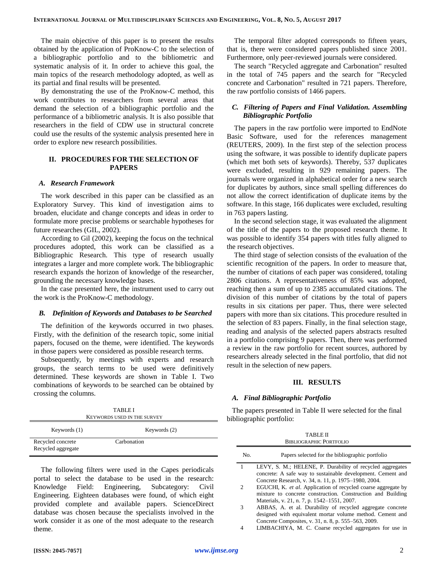The main objective of this paper is to present the results obtained by the application of ProKnow-C to the selection of a bibliographic portfolio and to the bibliometric and systematic analysis of it. In order to achieve this goal, the main topics of the research methodology adopted, as well as its partial and final results will be presented.

By demonstrating the use of the ProKnow-C method, this work contributes to researchers from several areas that demand the selection of a bibliographic portfolio and the performance of a bibliometric analysis. It is also possible that researchers in the field of CDW use in structural concrete could use the results of the systemic analysis presented here in order to explore new research possibilities.

## **II. PROCEDURES FOR THE SELECTION OF PAPERS**

#### *A. Research Framework*

The work described in this paper can be classified as an Exploratory Survey. This kind of investigation aims to broaden, elucidate and change concepts and ideas in order to formulate more precise problems or searchable hypotheses for future researches (GIL, 2002).

According to Gil (2002), keeping the focus on the technical procedures adopted, this work can be classified as a Bibliographic Research. This type of research usually integrates a larger and more complete work. The bibliographic research expands the horizon of knowledge of the researcher, grounding the necessary knowledge bases.

In the case presented here, the instrument used to carry out the work is the ProKnow-C methodology.

#### *B. Definition of Keywords and Databases to be Searched*

The definition of the keywords occurred in two phases. Firstly, with the definition of the research topic, some initial papers, focused on the theme, were identified. The keywords in those papers were considered as possible research terms.

Subsequently, by meetings with experts and research groups, the search terms to be used were definitively determined. These keywords are shown in Table I. Two combinations of keywords to be searched can be obtained by crossing the columns.

TABLE I

The temporal filter adopted corresponds to fifteen years, that is, there were considered papers published since 2001. Furthermore, only peer-reviewed journals were considered.

The search "Recycled aggregate and Carbonation" resulted in the total of 745 papers and the search for "Recycled concrete and Carbonation" resulted in 721 papers. Therefore, the raw portfolio consists of 1466 papers.

# *C. Filtering of Papers and Final Validation. Assembling Bibliographic Portfolio*

The papers in the raw portfolio were imported to EndNote Basic Software, used for the references management (REUTERS, 2009). In the first step of the selection process using the software, it was possible to identify duplicate papers (which met both sets of keywords). Thereby, 537 duplicates were excluded, resulting in 929 remaining papers. The journals were organized in alphabetical order for a new search for duplicates by authors, since small spelling differences do not allow the correct identification of duplicate items by the software. In this stage, 166 duplicates were excluded, resulting in 763 papers lasting.

In the second selection stage, it was evaluated the alignment of the title of the papers to the proposed research theme. It was possible to identify 354 papers with titles fully aligned to the research objectives.

The third stage of selection consists of the evaluation of the scientific recognition of the papers. In order to measure that, the number of citations of each paper was considered, totaling 2806 citations. A representativeness of 85% was adopted, reaching then a sum of up to 2385 accumulated citations. The division of this number of citations by the total of papers results in six citations per paper. Thus, there were selected papers with more than six citations. This procedure resulted in the selection of 83 papers. Finally, in the final selection stage, reading and analysis of the selected papers abstracts resulted in a portfolio comprising 9 papers. Then, there was performed a review in the raw portfolio for recent sources, authored by researchers already selected in the final portfolio, that did not result in the selection of new papers.

#### **III. RESULTS**

#### *A. Final Bibliographic Portfolio*

The papers presented in Table II were selected for the final bibliographic portfolio:

| <b>KEYWORDS USED IN THE SURVEY</b>      |              |  |  |  |  |  |
|-----------------------------------------|--------------|--|--|--|--|--|
| Keywords (1)                            | Keywords (2) |  |  |  |  |  |
| Recycled concrete<br>Recycled aggregate | Carbonation  |  |  |  |  |  |

The following filters were used in the Capes periodicals portal to select the database to be used in the research: Knowledge Field: Engineering, Subcategory: Civil Engineering. Eighteen databases were found, of which eight provided complete and available papers. ScienceDirect database was chosen because the specialists involved in the work consider it as one of the most adequate to the research theme.

| <b>TABLE II</b><br>BIBLIOGRAPHIC PORTFOLIO |                                                                                                                       |  |  |  |  |  |
|--------------------------------------------|-----------------------------------------------------------------------------------------------------------------------|--|--|--|--|--|
| No.                                        | Papers selected for the bibliographic portfolio                                                                       |  |  |  |  |  |
|                                            | LEVY, S. M.; HELENE, P. Durability of recycled aggregates                                                             |  |  |  |  |  |
|                                            | concrete: A safe way to sustainable development. Cement and                                                           |  |  |  |  |  |
| 2                                          | Concrete Research, v. 34, n. 11, p. 1975-1980, 2004.<br>EGUCHI, K. et al. Application of recycled coarse aggregate by |  |  |  |  |  |
|                                            | mixture to concrete construction. Construction and Building                                                           |  |  |  |  |  |
|                                            | Materials, v. 21, n. 7, p. 1542–1551, 2007.                                                                           |  |  |  |  |  |
| 3                                          | ABBAS, A. et al. Durability of recycled aggregate concrete                                                            |  |  |  |  |  |
|                                            | designed with equivalent mortar volume method. Cement and                                                             |  |  |  |  |  |
|                                            | Concrete Composites, v. 31, n. 8, p. 555–563, 2009.                                                                   |  |  |  |  |  |

4 LIMBACHIYA, M. C. Coarse recycled aggregates for use in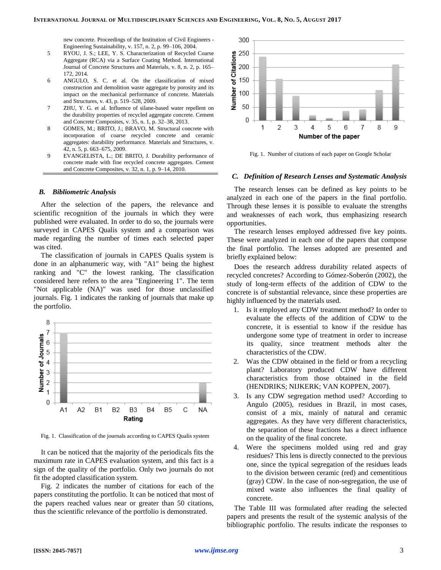new concrete. Proceedings of the Institution of Civil Engineers - Engineering Sustainability, v. 157, n. 2, p. 99–106, 2004.

- 5 RYOU, J. S.; LEE, Y. S. Characterization of Recycled Coarse Aggregate (RCA) via a Surface Coating Method. International Journal of Concrete Structures and Materials, v. 8, n. 2, p. 165– 172, 2014.
- 6 ANGULO, S. C. et al. On the classification of mixed construction and demolition waste aggregate by porosity and its impact on the mechanical performance of concrete. Materials and Structures, v. 43, p. 519–528, 2009.
- 7 ZHU, Y. G. et al. Influence of silane-based water repellent on the durability properties of recycled aggregate concrete. Cement and Concrete Composites, v. 35, n. 1, p. 32–38, 2013.
- 8 GOMES, M.; BRITO, J.; BRAVO, M. Structural concrete with incorporation of coarse recycled concrete and ceramic aggregates: durability performance. Materials and Structures, v. 42, n. 5, p. 663–675, 2009.
- 9 EVANGELISTA, L.; DE BRITO, J. Durability performance of concrete made with fine recycled concrete aggregates. Cement and Concrete Composites, v. 32, n. 1, p. 9–14, 2010.

## *B. Bibliometric Analysis*

After the selection of the papers, the relevance and scientific recognition of the journals in which they were published were evaluated. In order to do so, the journals were surveyed in CAPES Qualis system and a comparison was made regarding the number of times each selected paper was cited.

The classification of journals in CAPES Qualis system is done in an alphanumeric way, with "A1" being the highest ranking and "C" the lowest ranking. The classification considered here refers to the area "Engineering 1". The term "Not applicable (NA)" was used for those unclassified journals. Fig. 1 indicates the ranking of journals that make up the portfolio.



Fig. 1. Classification of the journals according to CAPES Qualis system

It can be noticed that the majority of the periodicals fits the maximum rate in CAPES evaluation system, and this fact is a sign of the quality of the portfolio. Only two journals do not fit the adopted classification system.

Fig. 2 indicates the number of citations for each of the papers constituting the portfolio. It can be noticed that most of the papers reached values near or greater than 50 citations, thus the scientific relevance of the portfolio is demonstrated.



Fig. 1. Number of citations of each paper on Google Scholar

### *C. Definition of Research Lenses and Systematic Analysis*

The research lenses can be defined as key points to be analyzed in each one of the papers in the final portfolio. Through these lenses it is possible to evaluate the strengths and weaknesses of each work, thus emphasizing research opportunities.

The research lenses employed addressed five key points. These were analyzed in each one of the papers that compose the final portfolio. The lenses adopted are presented and briefly explained below:

Does the research address durability related aspects of recycled concretes? According to Gómez-Soberón (2002), the study of long-term effects of the addition of CDW to the concrete is of substantial relevance, since these properties are highly influenced by the materials used.

- 1. Is it employed any CDW treatment method? In order to evaluate the effects of the addition of CDW to the concrete, it is essential to know if the residue has undergone some type of treatment in order to increase its quality, since treatment methods alter the characteristics of the CDW.
- 2. Was the CDW obtained in the field or from a recycling plant? Laboratory produced CDW have different characteristics from those obtained in the field (HENDRIKS; NIJKERK; VAN KOPPEN, 2007).
- 3. Is any CDW segregation method used? According to Angulo (2005), residues in Brazil, in most cases, consist of a mix, mainly of natural and ceramic aggregates. As they have very different characteristics, the separation of these fractions has a direct influence on the quality of the final concrete.
- 4. Were the specimens molded using red and gray residues? This lens is directly connected to the previous one, since the typical segregation of the residues leads to the division between ceramic (red) and cementitious (gray) CDW. In the case of non-segregation, the use of mixed waste also influences the final quality of concrete.

The Table III was formulated after reading the selected papers and presents the result of the systemic analysis of the bibliographic portfolio. The results indicate the responses to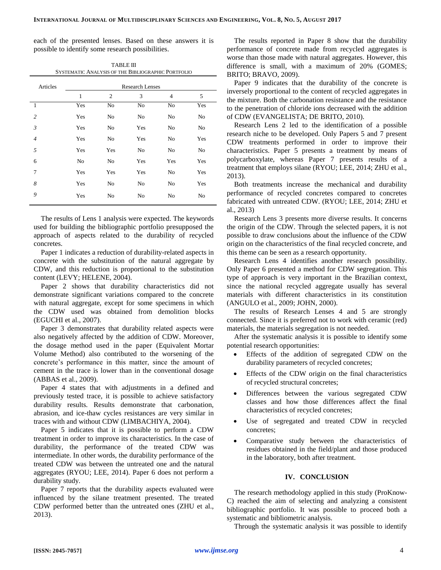each of the presented lenses. Based on these answers it is possible to identify some research possibilities.

TABLE III

| SYSTEMATIC ANALYSIS OF THE BIBLIOGRAPHIC PORTFOLIO |                        |                |     |     |     |  |  |  |
|----------------------------------------------------|------------------------|----------------|-----|-----|-----|--|--|--|
| Articles                                           | <b>Research Lenses</b> |                |     |     |     |  |  |  |
|                                                    | $\mathbf{1}$           | $\overline{2}$ | 3   | 4   | 5   |  |  |  |
| -1                                                 | Yes                    | No             | No  | No  | Yes |  |  |  |
| $\overline{c}$                                     | Yes                    | No             | No  | No  | No  |  |  |  |
| $\mathfrak{Z}$                                     | Yes                    | No             | Yes | No  | No  |  |  |  |
| $\overline{4}$                                     | Yes                    | No             | Yes | No  | Yes |  |  |  |
| 5                                                  | Yes                    | Yes            | No  | No  | No  |  |  |  |
| 6                                                  | No                     | No             | Yes | Yes | Yes |  |  |  |
| 7                                                  | Yes                    | Yes            | Yes | No  | Yes |  |  |  |
| 8                                                  | Yes                    | No             | No  | No  | Yes |  |  |  |
| 9                                                  | Yes                    | No             | No  | No  | No  |  |  |  |

The results of Lens 1 analysis were expected. The keywords used for building the bibliographic portfolio presupposed the approach of aspects related to the durability of recycled concretes.

Paper 1 indicates a reduction of durability-related aspects in concrete with the substitution of the natural aggregate by CDW, and this reduction is proportional to the substitution content (LEVY; HELENE, 2004).

Paper 2 shows that durability characteristics did not demonstrate significant variations compared to the concrete with natural aggregate, except for some specimens in which the CDW used was obtained from demolition blocks (EGUCHI et al., 2007).

Paper 3 demonstrates that durability related aspects were also negatively affected by the addition of CDW. Moreover, the dosage method used in the paper (Equivalent Mortar Volume Method) also contributed to the worsening of the concrete's performance in this matter, since the amount of cement in the trace is lower than in the conventional dosage (ABBAS et al., 2009).

Paper 4 states that with adjustments in a defined and previously tested trace, it is possible to achieve satisfactory durability results. Results demonstrate that carbonation, abrasion, and ice-thaw cycles resistances are very similar in traces with and without CDW (LIMBACHIYA, 2004).

Paper 5 indicates that it is possible to perform a CDW treatment in order to improve its characteristics. In the case of durability, the performance of the treated CDW was intermediate. In other words, the durability performance of the treated CDW was between the untreated one and the natural aggregates (RYOU; LEE, 2014). Paper 6 does not perform a durability study.

Paper 7 reports that the durability aspects evaluated were influenced by the silane treatment presented. The treated CDW performed better than the untreated ones (ZHU et al., 2013).

The results reported in Paper 8 show that the durability performance of concrete made from recycled aggregates is worse than those made with natural aggregates. However, this difference is small, with a maximum of 20% (GOMES; BRITO; BRAVO, 2009).

Paper 9 indicates that the durability of the concrete is inversely proportional to the content of recycled aggregates in the mixture. Both the carbonation resistance and the resistance to the penetration of chloride ions decreased with the addition of CDW (EVANGELISTA; DE BRITO, 2010).

Research Lens 2 led to the identification of a possible research niche to be developed. Only Papers 5 and 7 present CDW treatments performed in order to improve their characteristics. Paper 5 presents a treatment by means of polycarboxylate, whereas Paper 7 presents results of a treatment that employs silane (RYOU; LEE, 2014; ZHU et al., 2013).

Both treatments increase the mechanical and durability performance of recycled concretes compared to concretes fabricated with untreated CDW. (RYOU; LEE, 2014; ZHU et al., 2013)

Research Lens 3 presents more diverse results. It concerns the origin of the CDW. Through the selected papers, it is not possible to draw conclusions about the influence of the CDW origin on the characteristics of the final recycled concrete, and this theme can be seen as a research opportunity.

Research Lens 4 identifies another research possibility. Only Paper 6 presented a method for CDW segregation. This type of approach is very important in the Brazilian context, since the national recycled aggregate usually has several materials with different characteristics in its constitution (ANGULO et al., 2009; JOHN, 2000).

The results of Research Lenses 4 and 5 are strongly connected. Since it is preferred not to work with ceramic (red) materials, the materials segregation is not needed.

After the systematic analysis it is possible to identify some potential research opportunities:

- Effects of the addition of segregated CDW on the durability parameters of recycled concretes;
- Effects of the CDW origin on the final characteristics of recycled structural concretes;
- Differences between the various segregated CDW classes and how those differences affect the final characteristics of recycled concretes;
- Use of segregated and treated CDW in recycled concretes;
- Comparative study between the characteristics of residues obtained in the field/plant and those produced in the laboratory, both after treatment.

# **IV. CONCLUSION**

The research methodology applied in this study (ProKnow-C) reached the aim of selecting and analyzing a consistent bibliographic portfolio. It was possible to proceed both a systematic and bibliometric analysis.

Through the systematic analysis it was possible to identify